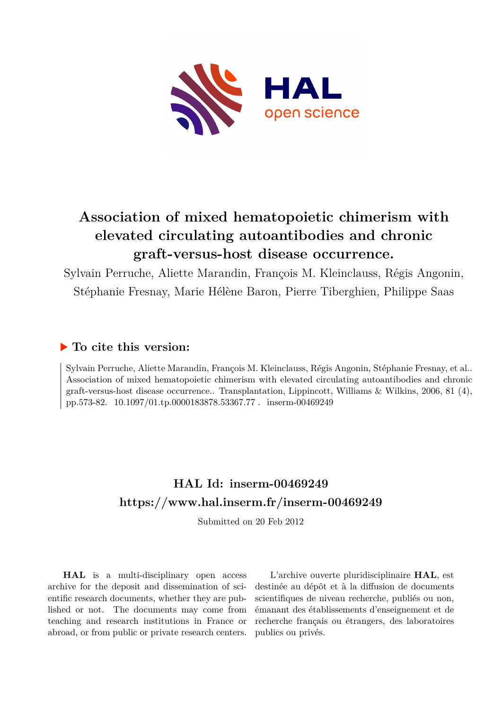

# **Association of mixed hematopoietic chimerism with elevated circulating autoantibodies and chronic graft-versus-host disease occurrence.**

Sylvain Perruche, Aliette Marandin, François M. Kleinclauss, Régis Angonin, Stéphanie Fresnay, Marie Hélène Baron, Pierre Tiberghien, Philippe Saas

# **To cite this version:**

Sylvain Perruche, Aliette Marandin, François M. Kleinclauss, Régis Angonin, Stéphanie Fresnay, et al.. Association of mixed hematopoietic chimerism with elevated circulating autoantibodies and chronic graft-versus-host disease occurrence.. Transplantation, Lippincott, Williams & Wilkins, 2006, 81 (4), pp.573-82. 10.1097/01.tp.0000183878.53367.77 miserm-00469249

# **HAL Id: inserm-00469249 <https://www.hal.inserm.fr/inserm-00469249>**

Submitted on 20 Feb 2012

**HAL** is a multi-disciplinary open access archive for the deposit and dissemination of scientific research documents, whether they are published or not. The documents may come from teaching and research institutions in France or abroad, or from public or private research centers.

L'archive ouverte pluridisciplinaire **HAL**, est destinée au dépôt et à la diffusion de documents scientifiques de niveau recherche, publiés ou non, émanant des établissements d'enseignement et de recherche français ou étrangers, des laboratoires publics ou privés.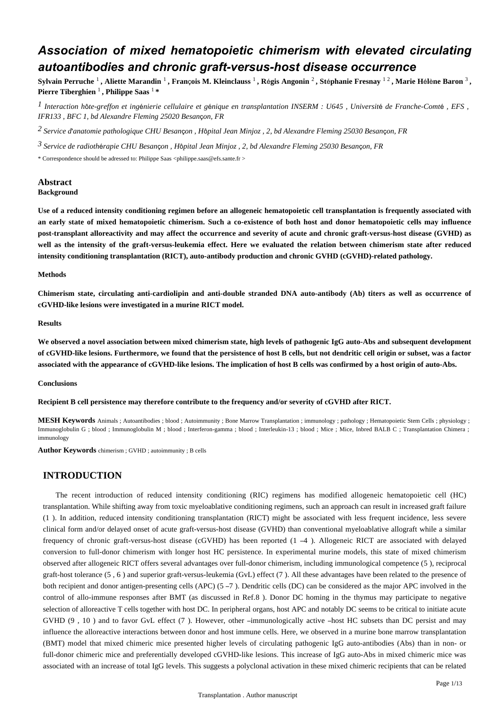# *Association of mixed hematopoietic chimerism with elevated circulating autoantibodies and chronic graft-versus-host disease occurrence*

**Sylvain Perruche** <sup>1</sup> **, Aliette Marandin** <sup>1</sup> **, Fran**ç**ois M. Kleinclauss** <sup>1</sup> **, R**é**gis Angonin** <sup>2</sup> **, St**é**phanie Fresnay** 1 2 **, Marie H**é**l**è**ne Baron** <sup>3</sup> **, Pierre Tiberghien** <sup>1</sup> **, Philippe Saas** 1 **\***

*I* Interaction hôte-greffon et ingénierie cellulaire et génique en transplantation INSERM : U645 , Université de Franche-Comté , EFS , *IFR133 , BFC 1, bd Alexandre Fleming 25020 Besan*ç*on, FR*

*Service d anatomie pathologique 2*  ' *CHU Besan*ç*on , H*ô*pital Jean Minjoz , 2, bd Alexandre Fleming 25030 Besan*ç*on, FR*

*Service de radioth rapie 3* <sup>é</sup> *CHU Besan*ç*on , H*ô*pital Jean Minjoz , 2, bd Alexandre Fleming 25030 Besan*ç*on, FR*

\* Correspondence should be adressed to: Philippe Saas <philippe.saas@efs.sante.fr >

## **Abstract**

## **Background**

**Use of a reduced intensity conditioning regimen before an allogeneic hematopoietic cell transplantation is frequently associated with an early state of mixed hematopoietic chimerism. Such a co-existence of both host and donor hematopoietic cells may influence post-transplant alloreactivity and may affect the occurrence and severity of acute and chronic graft-versus-host disease (GVHD) as well as the intensity of the graft-versus-leukemia effect. Here we evaluated the relation between chimerism state after reduced intensity conditioning transplantation (RICT), auto-antibody production and chronic GVHD (cGVHD)-related pathology.**

#### **Methods**

**Chimerism state, circulating anti-cardiolipin and anti-double stranded DNA auto-antibody (Ab) titers as well as occurrence of cGVHD-like lesions were investigated in a murine RICT model.**

#### **Results**

**We observed a novel association between mixed chimerism state, high levels of pathogenic IgG auto-Abs and subsequent development of cGVHD-like lesions. Furthermore, we found that the persistence of host B cells, but not dendritic cell origin or subset, was a factor associated with the appearance of cGVHD-like lesions. The implication of host B cells was confirmed by a host origin of auto-Abs.**

#### **Conclusions**

**Recipient B cell persistence may therefore contribute to the frequency and/or severity of cGVHD after RICT.**

**MESH Keywords** Animals ; Autoantibodies ; blood ; Autoimmunity ; Bone Marrow Transplantation ; immunology ; pathology ; Hematopoietic Stem Cells ; physiology ; Immunoglobulin G ; blood ; Immunoglobulin M ; blood ; Interferon-gamma ; blood ; Interleukin-13 ; blood ; Mice ; Mice, Inbred BALB C ; Transplantation Chimera ; immunology

**Author Keywords** chimerism ; GVHD ; autoimmunity ; B cells

## **INTRODUCTION**

The recent introduction of reduced intensity conditioning (RIC) regimens has modified allogeneic hematopoietic cell (HC) transplantation. While shifting away from toxic myeloablative conditioning regimens, such an approach can result in increased graft failure (1 ). In addition, reduced intensity conditioning transplantation (RICT) might be associated with less frequent incidence, less severe clinical form and/or delayed onset of acute graft-versus-host disease (GVHD) than conventional myeloablative allograft while a similar frequency of chronic graft-versus-host disease (cGVHD) has been reported (1 –4 ). Allogeneic RICT are associated with delayed conversion to full-donor chimerism with longer host HC persistence. In experimental murine models, this state of mixed chimerism observed after allogeneic RICT offers several advantages over full-donor chimerism, including immunological competence (5 ), reciprocal graft-host tolerance (5 , 6 ) and superior graft-versus-leukemia (GvL) effect (7 ). All these advantages have been related to the presence of both recipient and donor antigen-presenting cells (APC) (5 –7 ). Dendritic cells (DC) can be considered as the major APC involved in the control of allo-immune responses after BMT (as discussed in Ref.8 ). Donor DC homing in the thymus may participate to negative selection of alloreactive T cells together with host DC. In peripheral organs, host APC and notably DC seems to be critical to initiate acute GVHD (9 , 10 ) and to favor GvL effect (7 ). However, other –immunologically active –host HC subsets than DC persist and may influence the alloreactive interactions between donor and host immune cells. Here, we observed in a murine bone marrow transplantation (BMT) model that mixed chimeric mice presented higher levels of circulating pathogenic IgG auto-antibodies (Abs) than in non- or full-donor chimeric mice and preferentially developed cGVHD-like lesions. This increase of IgG auto-Abs in mixed chimeric mice was associated with an increase of total IgG levels. This suggests a polyclonal activation in these mixed chimeric recipients that can be related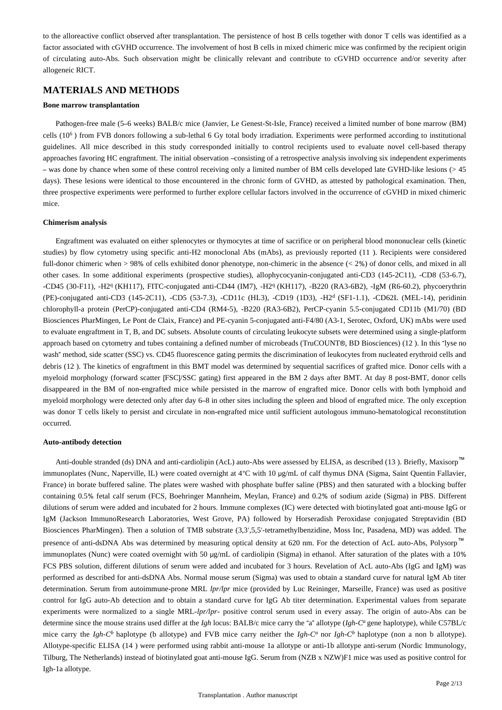to the alloreactive conflict observed after transplantation. The persistence of host B cells together with donor T cells was identified as a factor associated with cGVHD occurrence. The involvement of host B cells in mixed chimeric mice was confirmed by the recipient origin of circulating auto-Abs. Such observation might be clinically relevant and contribute to cGVHD occurrence and/or severity after allogeneic RICT.

## **MATERIALS AND METHODS**

#### **Bone marrow transplantation**

Pathogen-free male (5–6 weeks) BALB/c mice (Janvier, Le Genest-St-Isle, France) received a limited number of bone marrow (BM) cells  $(10<sup>6</sup>)$  from FVB donors following a sub-lethal 6 Gy total body irradiation. Experiments were performed according to institutional guidelines. All mice described in this study corresponded initially to control recipients used to evaluate novel cell-based therapy approaches favoring HC engraftment. The initial observation –consisting of a retrospective analysis involving six independent experiments – was done by chance when some of these control receiving only a limited number of BM cells developed late GVHD-like lesions (> 45 days). These lesions were identical to those encountered in the chronic form of GVHD, as attested by pathological examination. Then, three prospective experiments were performed to further explore cellular factors involved in the occurrence of cGVHD in mixed chimeric mice.

#### **Chimerism analysis**

Engraftment was evaluated on either splenocytes or thymocytes at time of sacrifice or on peripheral blood mononuclear cells (kinetic studies) by flow cytometry using specific anti-H2 monoclonal Abs (mAbs), as previously reported (11 ). Recipients were considered full-donor chimeric when > 98% of cells exhibited donor phenotype, non-chimeric in the absence (< 2%) of donor cells, and mixed in all other cases. In some additional experiments (prospective studies), allophycocyanin-conjugated anti-CD3 (145-2C11), -CD8 (53-6.7), -CD45 (30-F11), -H2<sup>q</sup> (KH117), FITC-conjugated anti-CD44 (IM7), -H2<sup>q</sup> (KH117), -B220 (RA3-6B2), -IgM (R6-60.2), phycoerythrin (PE)-conjugated anti-CD3 (145-2C11), -CD5 (53-7.3), -CD11c (HL3), -CD19 (1D3), -H2<sup>d</sup> (SF1-1.1), -CD62L (MEL-14), peridinin chlorophyll-a protein (PerCP)-conjugated anti-CD4 (RM4-5), -B220 (RA3-6B2), PerCP-cyanin 5.5-conjugated CD11b (M1/70) (BD Biosciences PharMingen, Le Pont de Claix, France) and PE-cyanin 5-conjugated anti-F4/80 (A3-1, Serotec, Oxford, UK) mAbs were used to evaluate engraftment in T, B, and DC subsets. Absolute counts of circulating leukocyte subsets were determined using a single-platform approach based on cytometry and tubes containing a defined number of microbeads (TruCOUNT®, BD Biosciences) (12 ). In this "lyse no wash" method, side scatter (SSC) vs. CD45 fluorescence gating permits the discrimination of leukocytes from nucleated erythroid cells and debris (12 ). The kinetics of engraftment in this BMT model was determined by sequential sacrifices of grafted mice. Donor cells with a myeloid morphology (forward scatter [FSC]/SSC gating) first appeared in the BM 2 days after BMT. At day 8 post-BMT, donor cells disappeared in the BM of non-engrafted mice while persisted in the marrow of engrafted mice. Donor cells with both lymphoid and myeloid morphology were detected only after day 6–8 in other sites including the spleen and blood of engrafted mice. The only exception was donor T cells likely to persist and circulate in non-engrafted mice until sufficient autologous immuno-hematological reconstitution occurred.

#### **Auto-antibody detection**

Anti-double stranded (ds) DNA and anti-cardiolipin (AcL) auto-Abs were assessed by ELISA, as described (13). Briefly, Maxisorp™ immunoplates (Nunc, Naperville, IL) were coated overnight at 4°C with 10 μg/mL of calf thymus DNA (Sigma, Saint Quentin Fallavier, France) in borate buffered saline. The plates were washed with phosphate buffer saline (PBS) and then saturated with a blocking buffer containing 0.5% fetal calf serum (FCS, Boehringer Mannheim, Meylan, France) and 0.2% of sodium azide (Sigma) in PBS. Different dilutions of serum were added and incubated for 2 hours. Immune complexes (IC) were detected with biotinylated goat anti-mouse IgG or IgM (Jackson ImmunoResearch Laboratories, West Grove, PA) followed by Horseradish Peroxidase conjugated Streptavidin (BD Biosciences PharMingen). Then a solution of TMB substrate (3,3′,5,5′-tetramethylbenzidine, Moss Inc, Pasadena, MD) was added. The presence of anti-dsDNA Abs was determined by measuring optical density at 620 nm. For the detection of AcL auto-Abs, Polysorp™ immunoplates (Nunc) were coated overnight with 50 μg/mL of cardiolipin (Sigma) in ethanol. After saturation of the plates with a 10% FCS PBS solution, different dilutions of serum were added and incubated for 3 hours. Revelation of AcL auto-Abs (IgG and IgM) was performed as described for anti-dsDNA Abs. Normal mouse serum (Sigma) was used to obtain a standard curve for natural IgM Ab titer determination. Serum from autoimmune-prone MRL *lpr/lpr* mice (provided by Luc Reininger, Marseille, France) was used as positive control for IgG auto-Ab detection and to obtain a standard curve for IgG Ab titer determination. Experimental values from separate experiments were normalized to a single MRL-*lpr/lpr-* positive control serum used in every assay. The origin of auto-Abs can be determine since the mouse strains used differ at the *Igh* locus: BALB/c mice carry the "a" allotype (*Igh-C<sup>a</sup>* gene haplotype), while C57BL/c mice carry the *Igh-C<sup>b</sup>* haplotype (b allotype) and FVB mice carry neither the *Igh-C<sup>a</sup>* nor *Igh-C<sup>b</sup>* haplotype (non a non b allotype). Allotype-specific ELISA (14 ) were performed using rabbit anti-mouse 1a allotype or anti-1b allotype anti-serum (Nordic Immunology, Tilburg, The Netherlands) instead of biotinylated goat anti-mouse IgG. Serum from (NZB x NZW)F1 mice was used as positive control for Igh-1a allotype.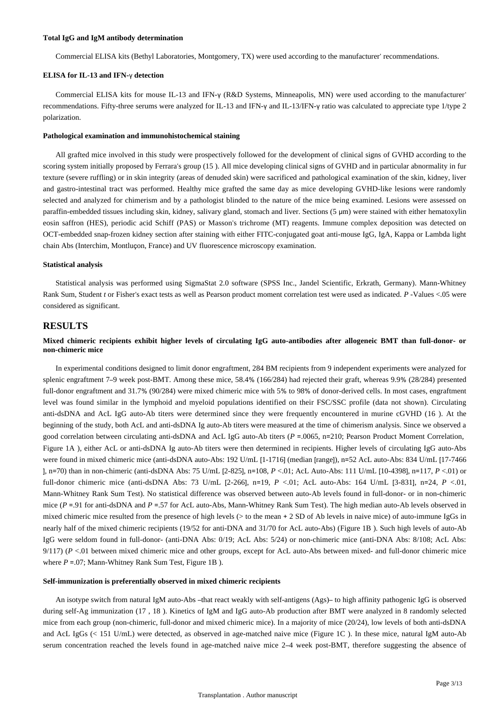#### **Total IgG and IgM antibody determination**

Commercial ELISA kits (Bethyl Laboratories, Montgomery, TX) were used according to the manufacturer' recommendations.

#### **ELISA for IL-13 and IFN-**γ **detection**

Commercial ELISA kits for mouse IL-13 and IFN-γ (R&D Systems, Minneapolis, MN) were used according to the manufacturer' recommendations. Fifty-three serums were analyzed for IL-13 and IFN-γ and IL-13/IFN-γ ratio was calculated to appreciate type 1/type 2 polarization.

#### **Pathological examination and immunohistochemical staining**

All grafted mice involved in this study were prospectively followed for the development of clinical signs of GVHD according to the scoring system initially proposed by Ferrara's group (15 ). All mice developing clinical signs of GVHD and in particular abnormality in fur texture (severe ruffling) or in skin integrity (areas of denuded skin) were sacrificed and pathological examination of the skin, kidney, liver and gastro-intestinal tract was performed. Healthy mice grafted the same day as mice developing GVHD-like lesions were randomly selected and analyzed for chimerism and by a pathologist blinded to the nature of the mice being examined. Lesions were assessed on paraffin-embedded tissues including skin, kidney, salivary gland, stomach and liver. Sections (5 μm) were stained with either hematoxylin eosin saffron (HES), periodic acid Schiff (PAS) or Masson's trichrome (MT) reagents. Immune complex deposition was detected on OCT-embedded snap-frozen kidney section after staining with either FITC-conjugated goat anti-mouse IgG, IgA, Kappa or Lambda light chain Abs (Interchim, Montluçon, France) and UV fluorescence microscopy examination.

#### **Statistical analysis**

Statistical analysis was performed using SigmaStat 2.0 software (SPSS Inc., Jandel Scientific, Erkrath, Germany). Mann-Whitney Rank Sum, Student *t* or Fisher's exact tests as well as Pearson product moment correlation test were used as indicated. *P* -Values <.05 were considered as significant.

## **RESULTS**

## **Mixed chimeric recipients exhibit higher levels of circulating IgG auto-antibodies after allogeneic BMT than full-donor- or non-chimeric mice**

In experimental conditions designed to limit donor engraftment, 284 BM recipients from 9 independent experiments were analyzed for splenic engraftment 7–9 week post-BMT. Among these mice, 58.4% (166/284) had rejected their graft, whereas 9.9% (28/284) presented full-donor engraftment and 31.7% (90/284) were mixed chimeric mice with 5% to 98% of donor-derived cells. In most cases, engraftment level was found similar in the lymphoid and myeloid populations identified on their FSC/SSC profile (data not shown). Circulating anti-dsDNA and AcL IgG auto-Ab titers were determined since they were frequently encountered in murine cGVHD (16 ). At the beginning of the study, both AcL and anti-dsDNA Ig auto-Ab titers were measured at the time of chimerism analysis. Since we observed a good correlation between circulating anti-dsDNA and AcL IgG auto-Ab titers (*P* =.0065, n=210; Pearson Product Moment Correlation, Figure 1A ), either AcL or anti-dsDNA Ig auto-Ab titers were then determined in recipients. Higher levels of circulating IgG auto-Abs were found in mixed chimeric mice (anti-dsDNA auto-Abs: 192 U/mL [1-1716] (median [range]), n=52 AcL auto-Abs: 834 U/mL [17-7466 ], n=70) than in non-chimeric (anti-dsDNA Abs: 75 U/mL [2-825], n=108, *P* <.01; AcL Auto-Abs: 111 U/mL [10-4398], n=117, *P* <.01) or full-donor chimeric mice (anti-dsDNA Abs: 73 U/mL [2-266], n=19, *P* <.01; AcL auto-Abs: 164 U/mL [3-831], n=24, *P* <.01, Mann-Whitney Rank Sum Test). No statistical difference was observed between auto-Ab levels found in full-donor- or in non-chimeric mice (*P* = 91 for anti-dsDNA and *P* = 57 for AcL auto-Abs, Mann-Whitney Rank Sum Test). The high median auto-Ab levels observed in mixed chimeric mice resulted from the presence of high levels (> to the mean + 2 SD of Ab levels in naive mice) of auto-immune IgGs in nearly half of the mixed chimeric recipients (19/52 for anti-DNA and 31/70 for AcL auto-Abs) (Figure 1B ). Such high levels of auto-Ab IgG were seldom found in full-donor- (anti-DNA Abs: 0/19; AcL Abs: 5/24) or non-chimeric mice (anti-DNA Abs: 8/108; AcL Abs:  $9/117$ ) ( $P < 01$  between mixed chimeric mice and other groups, except for AcL auto-Abs between mixed- and full-donor chimeric mice where  $P = 0.07$ ; Mann-Whitney Rank Sum Test, Figure 1B ).

#### **Self-immunization is preferentially observed in mixed chimeric recipients**

An isotype switch from natural IgM auto-Abs –that react weakly with self-antigens (Ags)– to high affinity pathogenic IgG is observed during self-Ag immunization (17 , 18 ). Kinetics of IgM and IgG auto-Ab production after BMT were analyzed in 8 randomly selected mice from each group (non-chimeric, full-donor and mixed chimeric mice). In a majority of mice (20/24), low levels of both anti-dsDNA and AcL IgGs (< 151 U/mL) were detected, as observed in age-matched naive mice (Figure 1C ). In these mice, natural IgM auto-Ab serum concentration reached the levels found in age-matched naive mice 2–4 week post-BMT, therefore suggesting the absence of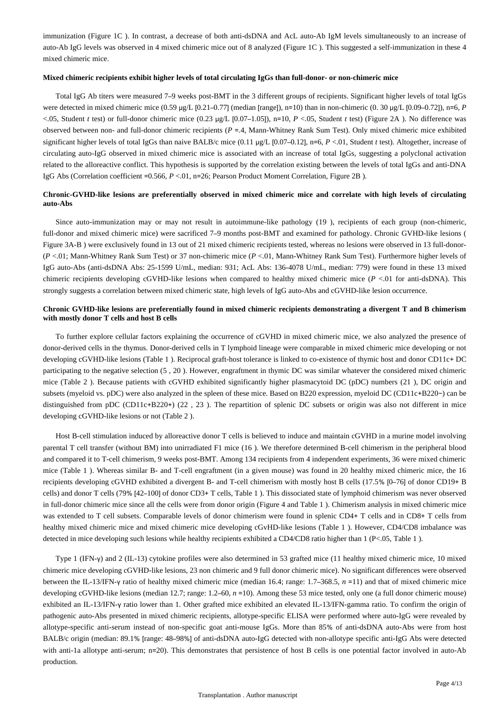immunization (Figure 1C ). In contrast, a decrease of both anti-dsDNA and AcL auto-Ab IgM levels simultaneously to an increase of auto-Ab IgG levels was observed in 4 mixed chimeric mice out of 8 analyzed (Figure 1C ). This suggested a self-immunization in these 4 mixed chimeric mice.

#### **Mixed chimeric recipients exhibit higher levels of total circulating IgGs than full-donor- or non-chimeric mice**

Total IgG Ab titers were measured 7–9 weeks post-BMT in the 3 different groups of recipients. Significant higher levels of total IgGs were detected in mixed chimeric mice (0.59 μg/L [0.21–0.77] (median [range]), n=10) than in non-chimeric (0. 30 μg/L [0.09–0.72]), n=6, *P* <.05, Student *t* test) or full-donor chimeric mice (0.23 μg/L [0.07–1.05]), n=10, *P* <.05, Student *t* test) (Figure 2A ). No difference was observed between non- and full-donor chimeric recipients (*P* =.4, Mann-Whitney Rank Sum Test). Only mixed chimeric mice exhibited significant higher levels of total IgGs than naive BALB/c mice (0.11 μg/L [0.07–0.12], n=6, *P* <.01, Student *t* test). Altogether, increase of circulating auto-IgG observed in mixed chimeric mice is associated with an increase of total IgGs, suggesting a polyclonal activation related to the alloreactive conflict. This hypothesis is supported by the correlation existing between the levels of total IgGs and anti-DNA IgG Abs (Correlation coefficient =0.566, *P* <.01, n=26; Pearson Product Moment Correlation, Figure 2B ).

## **Chronic-GVHD-like lesions are preferentially observed in mixed chimeric mice and correlate with high levels of circulating auto-Abs**

Since auto-immunization may or may not result in autoimmune-like pathology (19 ), recipients of each group (non-chimeric, full-donor and mixed chimeric mice) were sacrificed 7–9 months post-BMT and examined for pathology. Chronic GVHD-like lesions ( Figure 3A-B ) were exclusively found in 13 out of 21 mixed chimeric recipients tested, whereas no lesions were observed in 13 full-donor-(*P* <.01; Mann-Whitney Rank Sum Test) or 37 non-chimeric mice (*P* <.01, Mann-Whitney Rank Sum Test). Furthermore higher levels of IgG auto-Abs (anti-dsDNA Abs: 25-1599 U/mL, median: 931; AcL Abs: 136-4078 U/mL, median: 779) were found in these 13 mixed chimeric recipients developing cGVHD-like lesions when compared to healthy mixed chimeric mice (*P* <.01 for anti-dsDNA). This strongly suggests a correlation between mixed chimeric state, high levels of IgG auto-Abs and cGVHD-like lesion occurrence.

#### **Chronic GVHD-like lesions are preferentially found in mixed chimeric recipients demonstrating a divergent T and B chimerism with mostly donor T cells and host B cells**

To further explore cellular factors explaining the occurrence of cGVHD in mixed chimeric mice, we also analyzed the presence of donor-derived cells in the thymus. Donor-derived cells in T lymphoid lineage were comparable in mixed chimeric mice developing or not developing cGVHD-like lesions (Table 1 ). Reciprocal graft-host tolerance is linked to co-existence of thymic host and donor CD11c+ DC participating to the negative selection (5 , 20 ). However, engraftment in thymic DC was similar whatever the considered mixed chimeric mice (Table 2 ). Because patients with cGVHD exhibited significantly higher plasmacytoid DC (pDC) numbers (21 ), DC origin and subsets (myeloid vs. pDC) were also analyzed in the spleen of these mice. Based on B220 expression, myeloid DC (CD11c+B220−) can be distinguished from pDC (CD11c+B220+) (22, 23). The repartition of splenic DC subsets or origin was also not different in mice developing cGVHD-like lesions or not (Table 2 ).

Host B-cell stimulation induced by alloreactive donor T cells is believed to induce and maintain cGVHD in a murine model involving parental T cell transfer (without BM) into unirradiated F1 mice (16 ). We therefore determined B-cell chimerism in the peripheral blood and compared it to T-cell chimerism, 9 weeks post-BMT. Among 134 recipients from 4 independent experiments, 36 were mixed chimeric mice (Table 1 ). Whereas similar B- and T-cell engraftment (in a given mouse) was found in 20 healthy mixed chimeric mice, the 16 recipients developing cGVHD exhibited a divergent B- and T-cell chimerism with mostly host B cells (17.5% [0–76] of donor CD19+ B cells) and donor T cells (79% [42–100] of donor CD3+ T cells, Table 1 ). This dissociated state of lymphoid chimerism was never observed in full-donor chimeric mice since all the cells were from donor origin (Figure 4 and Table 1 ). Chimerism analysis in mixed chimeric mice was extended to T cell subsets. Comparable levels of donor chimerism were found in splenic CD4+ T cells and in CD8+ T cells from healthy mixed chimeric mice and mixed chimeric mice developing cGvHD-like lesions (Table 1 ). However, CD4/CD8 imbalance was detected in mice developing such lesions while healthy recipients exhibited a CD4/CD8 ratio higher than 1 (P<.05, Table 1 ).

Type 1 (IFN-γ) and 2 (IL-13) cytokine profiles were also determined in 53 grafted mice (11 healthy mixed chimeric mice, 10 mixed chimeric mice developing cGVHD-like lesions, 23 non chimeric and 9 full donor chimeric mice). No significant differences were observed between the IL-13/IFN-γ ratio of healthy mixed chimeric mice (median 16.4; range: 1.7–368.5, *n* =11) and that of mixed chimeric mice developing cGVHD-like lesions (median 12.7; range: 1.2–60, *n* =10). Among these 53 mice tested, only one (a full donor chimeric mouse) exhibited an IL-13/IFN-γ ratio lower than 1. Other grafted mice exhibited an elevated IL-13/IFN-gamma ratio. To confirm the origin of pathogenic auto-Abs presented in mixed chimeric recipients, allotype-specific ELISA were performed where auto-IgG were revealed by allotype-specific anti-serum instead of non-specific goat anti-mouse IgGs. More than 85% of anti-dsDNA auto-Abs were from host BALB/c origin (median: 89.1% [range: 48–98%] of anti-dsDNA auto-IgG detected with non-allotype specific anti-IgG Abs were detected with anti-1a allotype anti-serum; n=20). This demonstrates that persistence of host B cells is one potential factor involved in auto-Ab production.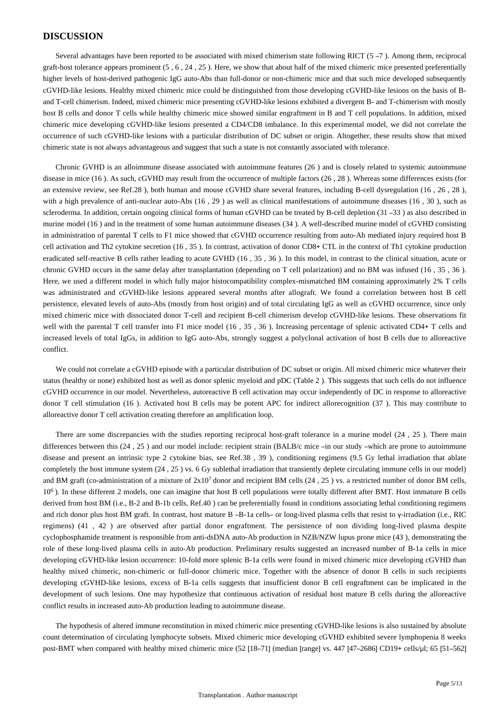## **DISCUSSION**

Several advantages have been reported to be associated with mixed chimerism state following RICT (5 –7 ). Among them, reciprocal graft-host tolerance appears prominent (5 , 6 , 24 , 25 ). Here, we show that about half of the mixed chimeric mice presented preferentially higher levels of host-derived pathogenic IgG auto-Abs than full-donor or non-chimeric mice and that such mice developed subsequently cGVHD-like lesions. Healthy mixed chimeric mice could be distinguished from those developing cGVHD-like lesions on the basis of Band T-cell chimerism. Indeed, mixed chimeric mice presenting cGVHD-like lesions exhibited a divergent B- and T-chimerism with mostly host B cells and donor T cells while healthy chimeric mice showed similar engraftment in B and T cell populations. In addition, mixed chimeric mice developing cGVHD-like lesions presented a CD4/CD8 imbalance. In this experimental model, we did not correlate the occurrence of such cGVHD-like lesions with a particular distribution of DC subset or origin. Altogether, these results show that mixed chimeric state is not always advantageous and suggest that such a state is not constantly associated with tolerance.

Chronic GVHD is an alloimmune disease associated with autoimmune features (26 ) and is closely related to systemic autoimmune disease in mice (16 ). As such, cGVHD may result from the occurrence of multiple factors (26 , 28 ). Whereas some differences exists (for an extensive review, see Ref.28 ), both human and mouse cGVHD share several features, including B-cell dysregulation (16 , 26 , 28 ), with a high prevalence of anti-nuclear auto-Abs (16, 29) as well as clinical manifestations of autoimmune diseases (16, 30), such as scleroderma. In addition, certain ongoing clinical forms of human cGVHD can be treated by B-cell depletion (31 –33) as also described in murine model (16 ) and in the treatment of some human autoimmune diseases (34 ). A well-described murine model of cGVHD consisting in administration of parental T cells to F1 mice showed that cGVHD occurrence resulting from auto-Ab mediated injury required host B cell activation and Th2 cytokine secretion (16 , 35 ). In contrast, activation of donor CD8+ CTL in the context of Th1 cytokine production eradicated self-reactive B cells rather leading to acute GVHD (16 , 35 , 36 ). In this model, in contrast to the clinical situation, acute or chronic GVHD occurs in the same delay after transplantation (depending on T cell polarization) and no BM was infused (16 , 35 , 36 ). Here, we used a different model in which fully major histocompatibility complex-mismatched BM containing approximately 2% T cells was administrated and cGVHD-like lesions appeared several months after allograft. We found a correlation between host B cell persistence, elevated levels of auto-Abs (mostly from host origin) and of total circulating IgG as well as cGVHD occurrence, since only mixed chimeric mice with dissociated donor T-cell and recipient B-cell chimerism develop cGVHD-like lesions. These observations fit well with the parental T cell transfer into F1 mice model (16, 35, 36). Increasing percentage of splenic activated CD4+ T cells and increased levels of total IgGs, in addition to IgG auto-Abs, strongly suggest a polyclonal activation of host B cells due to alloreactive conflict.

We could not correlate a cGVHD episode with a particular distribution of DC subset or origin. All mixed chimeric mice whatever their status (healthy or none) exhibited host as well as donor splenic myeloid and pDC (Table 2 ). This suggests that such cells do not influence cGVHD occurrence in our model. Nevertheless, autoreactive B cell activation may occur independently of DC in response to alloreactive donor T cell stimulation (16 ). Activated host B cells may be potent APC for indirect allorecognition (37 ). This may contribute to alloreactive donor T cell activation creating therefore an amplification loop.

There are some discrepancies with the studies reporting reciprocal host-graft tolerance in a murine model (24 , 25 ). There main differences between this (24, 25) and our model include: recipient strain (BALB/c mice –in our study –which are prone to autoimmune disease and present an intrinsic type 2 cytokine bias, see Ref.38 , 39 ), conditioning regimens (9.5 Gy lethal irradiation that ablate completely the host immune system (24 , 25 ) vs. 6 Gy sublethal irradiation that transiently deplete circulating immune cells in our model) and BM graft (co-administration of a mixture of  $2x10<sup>7</sup>$  donor and recipient BM cells (24, 25) vs. a restricted number of donor BM cells, 10<sup>6</sup>). In these different 2 models, one can imagine that host B cell populations were totally different after BMT. Host immature B cells derived from host BM (i.e., B-2 and B-1b cells, Ref.40 ) can be preferentially found in conditions associating lethal conditioning regimens and rich donor plus host BM graft. In contrast, host mature B –B-1a cells– or long-lived plasma cells that resist to γ-irradiation (i.e., RIC regimens) (41 , 42 ) are observed after partial donor engraftment. The persistence of non dividing long-lived plasma despite cyclophosphamide treatment is responsible from anti-dsDNA auto-Ab production in NZB/NZW lupus prone mice (43 ), demonstrating the role of these long-lived plasma cells in auto-Ab production. Preliminary results suggested an increased number of B-1a cells in mice developing cGVHD-like lesion occurrence: 10-fold more splenic B-1a cells were found in mixed chimeric mice developing cGVHD than healthy mixed chimeric, non-chimeric or full-donor chimeric mice. Together with the absence of donor B cells in such recipients developing cGVHD-like lesions, excess of B-1a cells suggests that insufficient donor B cell engraftment can be implicated in the development of such lesions. One may hypothesize that continuous activation of residual host mature B cells during the alloreactive conflict results in increased auto-Ab production leading to autoimmune disease.

The hypothesis of altered immune reconstitution in mixed chimeric mice presenting cGVHD-like lesions is also sustained by absolute count determination of circulating lymphocyte subsets. Mixed chimeric mice developing cGVHD exhibited severe lymphopenia 8 weeks post-BMT when compared with healthy mixed chimeric mice (52 [18–71] (median [range] vs. 447 [47–2686] CD19+ cells/μl; 65 [51–562]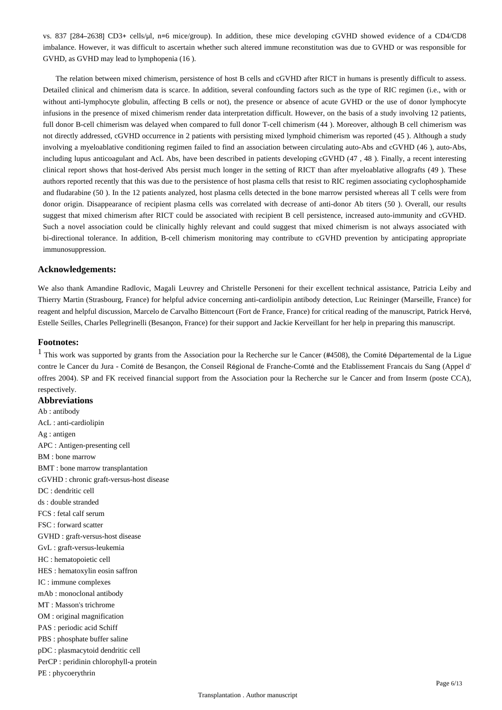vs. 837 [284–2638] CD3+ cells/μl, n=6 mice/group). In addition, these mice developing cGVHD showed evidence of a CD4/CD8 imbalance. However, it was difficult to ascertain whether such altered immune reconstitution was due to GVHD or was responsible for GVHD, as GVHD may lead to lymphopenia (16 ).

The relation between mixed chimerism, persistence of host B cells and cGVHD after RICT in humans is presently difficult to assess. Detailed clinical and chimerism data is scarce. In addition, several confounding factors such as the type of RIC regimen (i.e., with or without anti-lymphocyte globulin, affecting B cells or not), the presence or absence of acute GVHD or the use of donor lymphocyte infusions in the presence of mixed chimerism render data interpretation difficult. However, on the basis of a study involving 12 patients, full donor B-cell chimerism was delayed when compared to full donor T-cell chimerism (44 ). Moreover, although B cell chimerism was not directly addressed, cGVHD occurrence in 2 patients with persisting mixed lymphoid chimerism was reported (45 ). Although a study involving a myeloablative conditioning regimen failed to find an association between circulating auto-Abs and cGVHD (46 ), auto-Abs, including lupus anticoagulant and AcL Abs, have been described in patients developing cGVHD (47 , 48 ). Finally, a recent interesting clinical report shows that host-derived Abs persist much longer in the setting of RICT than after myeloablative allografts (49 ). These authors reported recently that this was due to the persistence of host plasma cells that resist to RIC regimen associating cyclophosphamide and fludarabine (50 ). In the 12 patients analyzed, host plasma cells detected in the bone marrow persisted whereas all T cells were from donor origin. Disappearance of recipient plasma cells was correlated with decrease of anti-donor Ab titers (50 ). Overall, our results suggest that mixed chimerism after RICT could be associated with recipient B cell persistence, increased auto-immunity and cGVHD. Such a novel association could be clinically highly relevant and could suggest that mixed chimerism is not always associated with bi-directional tolerance. In addition, B-cell chimerism monitoring may contribute to cGVHD prevention by anticipating appropriate immunosuppression.

## **Acknowledgements:**

We also thank Amandine Radlovic, Magali Leuvrey and Christelle Personeni for their excellent technical assistance, Patricia Leiby and Thierry Martin (Strasbourg, France) for helpful advice concerning anti-cardiolipin antibody detection, Luc Reininger (Marseille, France) for reagent and helpful discussion, Marcelo de Carvalho Bittencourt (Fort de France, France) for critical reading of the manuscript, Patrick Hervé, Estelle Seilles, Charles Pellegrinelli (Besançon, France) for their support and Jackie Kerveillant for her help in preparing this manuscript.

## **Footnotes:**

 $<sup>1</sup>$  This work was supported by grants from the Association pour la Recherche sur le Cancer (#4508), the Comité Départemental de la Ligue</sup> contre le Cancer du Jura - Comité de Besançon, the Conseil Régional de Franche-Comté and the Etablissement Francais du Sang (Appel d' offres 2004). SP and FK received financial support from the Association pour la Recherche sur le Cancer and from Inserm (poste CCA), respectively.

## **Abbreviations** Ab : antibody AcL : anti-cardiolipin Ag : antigen APC : Antigen-presenting cell BM : bone marrow BMT : bone marrow transplantation cGVHD : chronic graft-versus-host disease DC : dendritic cell ds : double stranded FCS : fetal calf serum FSC : forward scatter GVHD : graft-versus-host disease GvL : graft-versus-leukemia HC : hematopoietic cell HES : hematoxylin eosin saffron IC : immune complexes mAb : monoclonal antibody MT : Masson's trichrome OM : original magnification PAS : periodic acid Schiff PBS : phosphate buffer saline pDC : plasmacytoid dendritic cell PerCP : peridinin chlorophyll-a protein PE : phycoerythrin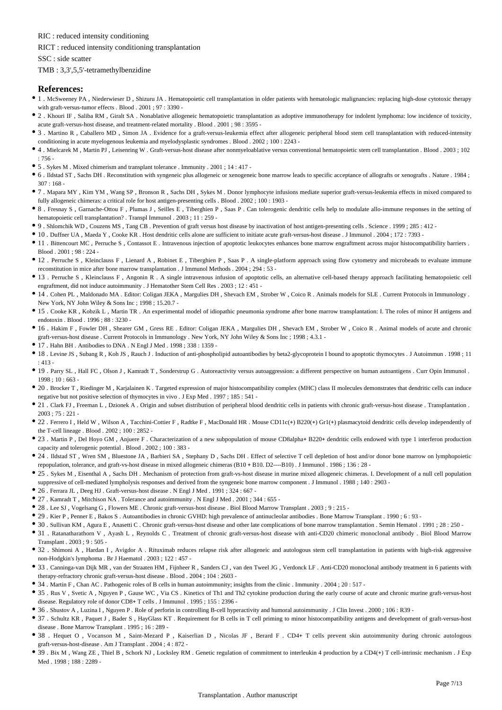RIC : reduced intensity conditioning

#### RICT : reduced intensity conditioning transplantation

SSC : side scatter

#### TMB : 3,3',5,5'-tetramethylbenzidine

#### **References:**

- 1 . McSweeney PA , Niederwieser D , Shizuru JA . Hematopoietic cell transplantation in older patients with hematologic malignancies: replacing high-dose cytotoxic therapy with graft-versus-tumor effects . Blood . 2001 ; 97 : 3390 -
- 2 . Khouri IF , Saliba RM , Giralt SA . Nonablative allogeneic hematopoietic transplantation as adoptive immunotherapy for indolent lymphoma: low incidence of toxicity, acute graft-versus-host disease, and treatment-related mortality . Blood . 2001 ; 98 : 3595 -
- <sup>•</sup> 3. Martino R, Caballero MD, Simon JA. Evidence for a graft-versus-leukemia effect after allogeneic peripheral blood stem cell transplantation with reduced-intensity conditioning in acute myelogenous leukemia and myelodysplastic syndromes . Blood . 2002 ; 100 : 2243 -
- 4 . Mielcarek M , Martin PJ , Leisenring W . Graft-versus-host disease after nonmyeloablative versus conventional hematopoietic stem cell transplantation . Blood . 2003 ; 102 : 756 -
- 5 . Sykes M . Mixed chimerism and transplant tolerance . Immunity . 2001 ; 14 : 417 -
- 6 . Ildstad ST , Sachs DH . Reconstitution with syngeneic plus allogeneic or xenogeneic bone marrow leads to specific acceptance of allografts or xenografts . Nature . 1984 ;  $307 : 168$
- 7 . Mapara MY , Kim YM , Wang SP , Bronson R , Sachs DH , Sykes M . Donor lymphocyte infusions mediate superior graft-versus-leukemia effects in mixed compared to fully allogeneic chimeras: a critical role for host antigen-presenting cells . Blood . 2002 ; 100 : 1903 -
- 8 . Fresnay S , Garnache-Ottou F , Plumas J , Seilles E , Tiberghien P , Saas P . Can tolerogenic dendritic cells help to modulate allo-immune responses in the setting of hematopoietic cell transplantation? . Transpl Immunol . 2003 ; 11 : 259 -
- 9 . Shlomchik WD , Couzens MS , Tang CB . Prevention of graft versus host disease by inactivation of host antigen-presenting cells . Science . 1999 ; 285 : 412 -
- 10 . Duffner UA , Maeda Y , Cooke KR . Host dendritic cells alone are sufficient to initiate acute graft-versus-host disease . J Immunol . 2004 ; 172 : 7393 -
- 11 . Bittencourt MC , Perruche S , Contassot E . Intravenous injection of apoptotic leukocytes enhances bone marrow engraftment across major histocompatibility barriers . Blood . 2001 ; 98 : 224 -
- 12 . Perruche S , Kleinclauss F , Lienard A , Robinet E , Tiberghien P , Saas P . A single-platform approach using flow cytometry and microbeads to evaluate immune reconstitution in mice after bone marrow transplantation . J Immunol Methods . 2004 ; 294 : 53 -
- 13 . Perruche S , Kleinclauss F , Angonin R . A single intravenous infusion of apoptotic cells, an alternative cell-based therapy approach facilitating hematopoietic cell engraftment, did not induce autoimmunity . J Hematother Stem Cell Res . 2003 ; 12 : 451 -
- 14 . Cohen PL , Maldonado MA . Editor: Coligan JEKA , Margulies DH , Shevach EM , Strober W , Coico R . Animals models for SLE . Current Protocols in Immunology . New York, NY John Wiley & Sons Inc ; 1998 ; 15.20.7 -
- 15 . Cooke KR , Kobzik L , Martin TR . An experimental model of idiopathic pneumonia syndrome after bone marrow transplantation: I. The roles of minor H antigens and endotoxin . Blood . 1996 ; 88 : 3230 -
- 16 . Hakim F , Fowler DH , Shearer GM , Gress RE . Editor: Coligan JEKA , Margulies DH , Shevach EM , Strober W , Coico R . Animal models of acute and chronic graft-versus-host disease . Current Protocols in Immunology . New York, NY John Wiley & Sons Inc ; 1998 ; 4.3.1 -
- 17 . Hahn BH . Antibodies to DNA . N Engl J Med . 1998 ; 338 : 1359 -
- 18 . Levine JS , Subang R , Koh JS , Rauch J . Induction of anti-phospholipid autoantibodies by beta2-glycoprotein I bound to apoptotic thymocytes . J Autoimmun . 1998 ; 11 : 413 -
- 19 . Parry SL , Hall FC , Olson J , Kamradt T , Sonderstrup G . Autoreactivity versus autoaggression: a different perspective on human autoantigens . Curr Opin Immunol .  $1998 : 10 : 663$
- 20 . Brocker T , Riedinger M , Karjalainen K . Targeted expression of major histocompatibility complex (MHC) class II molecules demonstrates that dendritic cells can induce negative but not positive selection of thymocytes in vivo . J Exp Med . 1997 ; 185 : 541 -
- 21 . Clark FJ , Freeman L , Dzionek A . Origin and subset distribution of peripheral blood dendritic cells in patients with chronic graft-versus-host disease . Transplantation . 2003 ; 75 : 221 -
- 22 . Ferrero I , Held W , Wilson A , Tacchini-Cottier F , Radtke F , MacDonald HR . Mouse CD11c(+) B220(+) Gr1(+) plasmacytoid dendritic cells develop independently of the T-cell lineage . Blood . 2002 ; 100 : 2852 -
- 23 . Martin P , Del Hoyo GM , Anjuere F . Characterization of a new subpopulation of mouse CD8alpha+ B220+ dendritic cells endowed with type 1 interferon production capacity and tolerogenic potential . Blood . 2002 ; 100 : 383 -
- 24 . Ildstad ST , Wren SM , Bluestone JA , Barbieri SA , Stephany D , Sachs DH . Effect of selective T cell depletion of host and/or donor bone marrow on lymphopoietic repopulation, tolerance, and graft-vs-host disease in mixed allogeneic chimeras (B10 + B10. D2----B10) . J Immunol . 1986 ; 136 : 28 -
- 25 . Sykes M , Eisenthal A , Sachs DH . Mechanism of protection from graft-vs-host disease in murine mixed allogeneic chimeras. I. Development of a null cell population suppressive of cell-mediated lympholysis responses and derived from the syngeneic bone marrow component . J Immunol . 1988 ; 140 : 2903 -
- $\bullet\,$  26 . Ferrara JL , Deeg HJ . Graft-versus-host disease . N Engl J Med . 1991 ; 324 : 667 -
- 27 . Kamradt T , Mitchison NA . Tolerance and autoimmunity . N Engl J Med . 2001 ; 344 : 655 -
- 28 . Lee SJ , Vogelsang G , Flowers ME . Chronic graft-versus-host disease . Biol Blood Marrow Transplant . 2003 ; 9 : 215 -
- 29 . Kier P , Penner E , Bakos S . Autoantibodies in chronic GVHD: high prevalence of antinucleolar antibodies . Bone Marrow Transplant . 1990 ; 6 : 93 -
- 30 . Sullivan KM , Agura E , Anasetti C . Chronic graft-versus-host disease and other late complications of bone marrow transplantation . Semin Hematol . 1991 ; 28 : 250 -
- 31 . Ratanatharathorn V , Ayash L , Reynolds C . Treatment of chronic graft-versus-host disease with anti-CD20 chimeric monoclonal antibody . Biol Blood Marrow Transplant . 2003 ; 9 : 505 -
- 32 . Shimoni A , Hardan I , Avigdor A . Rituximab reduces relapse risk after allogeneic and autologous stem cell transplantation in patients with high-risk aggressive non-Hodgkin's lymphoma . Br J Haematol . 2003 ; 122 : 457 -
- 33 . Canninga-van Dijk MR , van der Straaten HM , Fijnheer R , Sanders CJ , van den Tweel JG , Verdonck LF . Anti-CD20 monoclonal antibody treatment in 6 patients with therapy-refractory chronic graft-versus-host disease . Blood . 2004 ; 104 : 2603 -
- 34 . Martin F, Chan AC . Pathogenic roles of B cells in human autoimmunity; insights from the clinic . Immunity . 2004 ; 20 : 517 -
- 35 . Rus V , Svetic A , Nguyen P , Gause WC , Via CS . Kinetics of Th1 and Th2 cytokine production during the early course of acute and chronic murine graft-versus-host disease. Regulatory role of donor CD8+ T cells . J Immunol . 1995 ; 155 : 2396 -
- 36 . Shustov A , Luzina I , Nguyen P . Role of perforin in controlling B-cell hyperactivity and humoral autoimmunity . J Clin Invest . 2000 ; 106 : R39 -
- 37 . Schultz KR , Paquet J , Bader S , HayGlass KT . Requirement for B cells in T cell priming to minor histocompatibility antigens and development of graft-versus-host disease . Bone Marrow Transplant . 1995 ; 16 : 289 -
- 38 . Hequet O , Vocanson M , Saint-Mezard P , Kaiserlian D , Nicolas JF , Berard F . CD4+ T cells prevent skin autoimmunity during chronic autologous graft-versus-host-disease . Am J Transplant . 2004 ; 4 : 872 -
- 39 . Bix M , Wang ZE , Thiel B , Schork NJ , Locksley RM . Genetic regulation of commitment to interleukin 4 production by a CD4(+) T cell-intrinsic mechanism . J Exp Med . 1998 ; 188 : 2289 -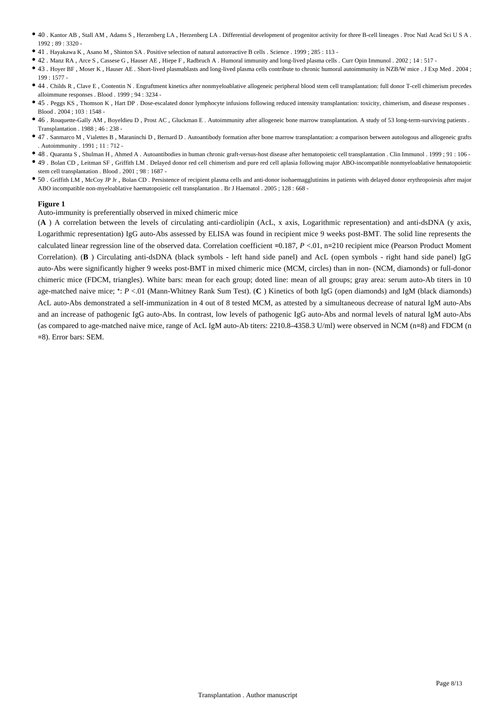- 40 . Kantor AB , Stall AM , Adams S , Herzenberg LA , Herzenberg LA . Differential development of progenitor activity for three B-cell lineages . Proc Natl Acad Sci U S A . 1992 ; 89 : 3320 -
- 41 . Hayakawa K , Asano M , Shinton SA . Positive selection of natural autoreactive B cells . Science . 1999 ; 285 : 113 -
- 42 . Manz RA , Arce S , Cassese G , Hauser AE , Hiepe F , Radbruch A . Humoral immunity and long-lived plasma cells . Curr Opin Immunol . 2002 ; 14 : 517 -
- 43 . Hoyer BF , Moser K , Hauser AE . Short-lived plasmablasts and long-lived plasma cells contribute to chronic humoral autoimmunity in NZB/W mice . J Exp Med . 2004 ; 199 : 1577 -
- 44 . Childs R , Clave E , Contentin N . Engraftment kinetics after nonmyeloablative allogeneic peripheral blood stem cell transplantation: full donor T-cell chimerism precedes alloimmune responses . Blood . 1999 ; 94 : 3234 -
- 45 . Peggs KS , Thomson K , Hart DP . Dose-escalated donor lymphocyte infusions following reduced intensity transplantation: toxicity, chimerism, and disease responses . Blood . 2004 ; 103 : 1548 -
- 46 . Rouquette-Gally AM , Boyeldieu D , Prost AC , Gluckman E . Autoimmunity after allogeneic bone marrow transplantation. A study of 53 long-term-surviving patients . Transplantation . 1988 ; 46 : 238 -
- 47 . Sanmarco M , Vialettes B , Maraninchi D , Bernard D . Autoantibody formation after bone marrow transplantation: a comparison between autologous and allogeneic grafts . Autoimmunity . 1991 ; 11 : 712 -
- 48 . Quaranta S , Shulman H , Ahmed A . Autoantibodies in human chronic graft-versus-host disease after hematopoietic cell transplantation . Clin Immunol . 1999 ; 91 : 106 -
- 49 . Bolan CD , Leitman SF , Griffith LM . Delayed donor red cell chimerism and pure red cell aplasia following major ABO-incompatible nonmyeloablative hematopoietic stem cell transplantation . Blood . 2001 ; 98 : 1687 -
- 50 . Griffith LM , McCoy JP Jr , Bolan CD . Persistence of recipient plasma cells and anti-donor isohaemagglutinins in patients with delayed donor erythropoiesis after major ABO incompatible non-myeloablative haematopoietic cell transplantation . Br J Haematol . 2005 ; 128 : 668 -

Auto-immunity is preferentially observed in mixed chimeric mice

(**A** ) A correlation between the levels of circulating anti-cardiolipin (AcL, x axis, Logarithmic representation) and anti-dsDNA (y axis, Logarithmic representation) IgG auto-Abs assessed by ELISA was found in recipient mice 9 weeks post-BMT. The solid line represents the calculated linear regression line of the observed data. Correlation coefficient =0.187, *P* <.01, n=210 recipient mice (Pearson Product Moment Correlation). (**B** ) Circulating anti-dsDNA (black symbols - left hand side panel) and AcL (open symbols - right hand side panel) IgG auto-Abs were significantly higher 9 weeks post-BMT in mixed chimeric mice (MCM, circles) than in non- (NCM, diamonds) or full-donor chimeric mice (FDCM, triangles). White bars: mean for each group; doted line: mean of all groups; gray area: serum auto-Ab titers in 10 age-matched naive mice; \*: *P* <.01 (Mann-Whitney Rank Sum Test). (**C** ) Kinetics of both IgG (open diamonds) and IgM (black diamonds) AcL auto-Abs demonstrated a self-immunization in 4 out of 8 tested MCM, as attested by a simultaneous decrease of natural IgM auto-Abs and an increase of pathogenic IgG auto-Abs. In contrast, low levels of pathogenic IgG auto-Abs and normal levels of natural IgM auto-Abs (as compared to age-matched naive mice, range of AcL IgM auto-Ab titers: 2210.8–4358.3 U/ml) were observed in NCM (n=8) and FDCM (n =8). Error bars: SEM.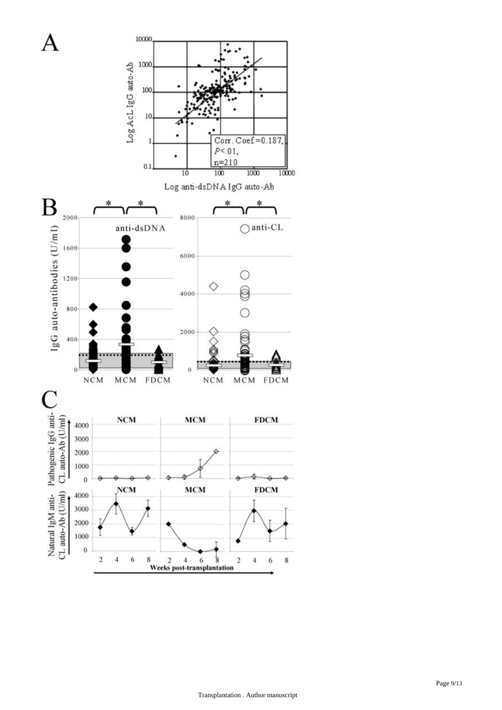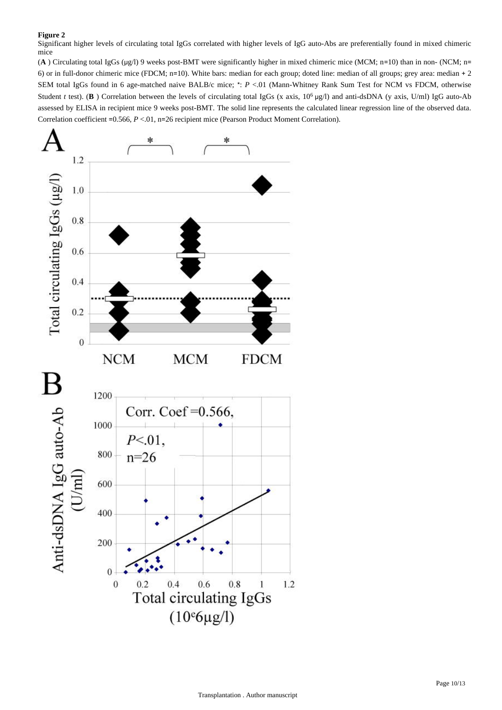Significant higher levels of circulating total IgGs correlated with higher levels of IgG auto-Abs are preferentially found in mixed chimeric mice

(**A** ) Circulating total IgGs (μg/l) 9 weeks post-BMT were significantly higher in mixed chimeric mice (MCM; n=10) than in non- (NCM; n= 6) or in full-donor chimeric mice (FDCM; n=10). White bars: median for each group; doted line: median of all groups; grey area: median + 2 SEM total IgGs found in 6 age-matched naive BALB/c mice; \*: *P* <.01 (Mann-Whitney Rank Sum Test for NCM vs FDCM, otherwise Student *t* test). (**B**) Correlation between the levels of circulating total IgGs (x axis,  $10^6$  µg/l) and anti-dsDNA (y axis, U/ml) IgG auto-Ab assessed by ELISA in recipient mice 9 weeks post-BMT. The solid line represents the calculated linear regression line of the observed data. Correlation coefficient =0.566,  $P < 01$ , n=26 recipient mice (Pearson Product Moment Correlation).

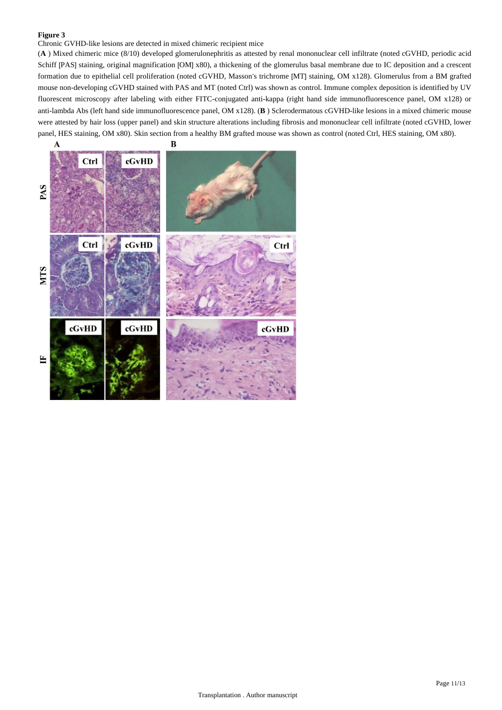Chronic GVHD-like lesions are detected in mixed chimeric recipient mice

(**A** ) Mixed chimeric mice (8/10) developed glomerulonephritis as attested by renal mononuclear cell infiltrate (noted cGVHD, periodic acid Schiff [PAS] staining, original magnification [OM] x80), a thickening of the glomerulus basal membrane due to IC deposition and a crescent formation due to epithelial cell proliferation (noted cGVHD, Masson's trichrome [MT] staining, OM x128). Glomerulus from a BM grafted mouse non-developing cGVHD stained with PAS and MT (noted Ctrl) was shown as control. Immune complex deposition is identified by UV fluorescent microscopy after labeling with either FITC-conjugated anti-kappa (right hand side immunofluorescence panel, OM x128) or anti-lambda Abs (left hand side immunofluorescence panel, OM x128). (**B** ) Sclerodermatous cGVHD-like lesions in a mixed chimeric mouse were attested by hair loss (upper panel) and skin structure alterations including fibrosis and mononuclear cell infiltrate (noted cGVHD, lower panel, HES staining, OM x80). Skin section from a healthy BM grafted mouse was shown as control (noted Ctrl, HES staining, OM x80).

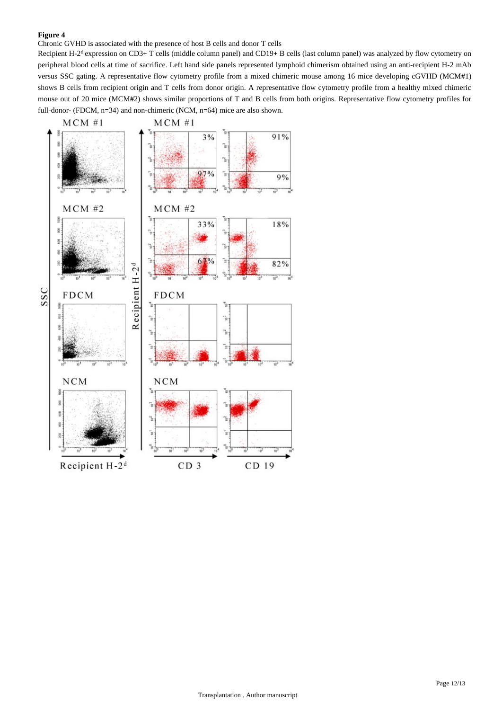Chronic GVHD is associated with the presence of host B cells and donor T cells

Recipient H-2<sup>d</sup> expression on CD3+ T cells (middle column panel) and CD19+ B cells (last column panel) was analyzed by flow cytometry on peripheral blood cells at time of sacrifice. Left hand side panels represented lymphoid chimerism obtained using an anti-recipient H-2 mAb versus SSC gating. A representative flow cytometry profile from a mixed chimeric mouse among 16 mice developing cGVHD (MCM#1) shows B cells from recipient origin and T cells from donor origin. A representative flow cytometry profile from a healthy mixed chimeric mouse out of 20 mice (MCM#2) shows similar proportions of T and B cells from both origins. Representative flow cytometry profiles for full-donor- (FDCM, n=34) and non-chimeric (NCM, n=64) mice are also shown.